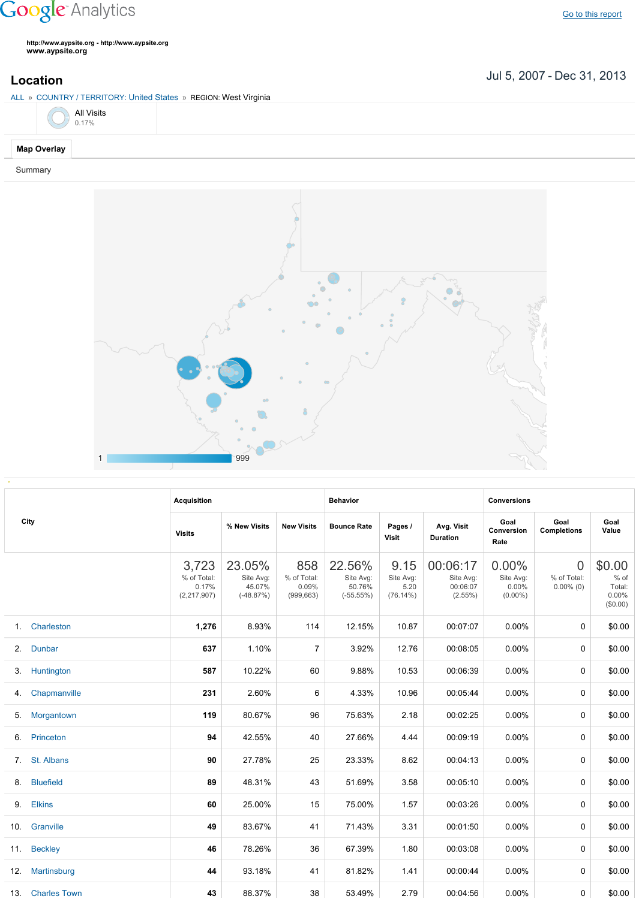## **Google** Analytics

**http://www.aypsite.org http://www.aypsite.org www.aypsite.org**

**Location** Jul 5, 2007 - Dec 31, 2013

| ALL » COUNTRY / TERRITORY: United States » REGION: West Virginia |  |
|------------------------------------------------------------------|--|
|------------------------------------------------------------------|--|

|  | <b>All Visits</b><br>0.17% |  |
|--|----------------------------|--|
|  |                            |  |

## **Map Overlay**

Summary



|     | City             | <b>Acquisition</b>                           |                                              |                                           | <b>Behavior</b>                              |                                       |                                                 | <b>Conversions</b>                              |                                               |                                                    |
|-----|------------------|----------------------------------------------|----------------------------------------------|-------------------------------------------|----------------------------------------------|---------------------------------------|-------------------------------------------------|-------------------------------------------------|-----------------------------------------------|----------------------------------------------------|
|     |                  | <b>Visits</b>                                | % New Visits                                 | <b>New Visits</b>                         | <b>Bounce Rate</b>                           | Pages /<br><b>Visit</b>               | Avg. Visit<br><b>Duration</b>                   | Goal<br>Conversion<br>Rate                      | Goal<br><b>Completions</b>                    | Goal<br>Value                                      |
|     |                  | 3,723<br>% of Total:<br>0.17%<br>(2,217,907) | 23.05%<br>Site Avg:<br>45.07%<br>$(-48.87%)$ | 858<br>% of Total:<br>0.09%<br>(999, 663) | 22.56%<br>Site Avg:<br>50.76%<br>$(-55.55%)$ | 9.15<br>Site Avg:<br>5.20<br>(76.14%) | 00:06:17<br>Site Avg:<br>00:06:07<br>$(2.55\%)$ | $0.00\%$<br>Site Avg:<br>$0.00\%$<br>$(0.00\%)$ | $\overline{0}$<br>% of Total:<br>$0.00\%$ (0) | \$0.00<br>$%$ of<br>Total:<br>$0.00\%$<br>(\$0.00) |
| 1.  | Charleston       | 1,276                                        | 8.93%                                        | 114                                       | 12.15%                                       | 10.87                                 | 00:07:07                                        | $0.00\%$                                        | 0                                             | \$0.00                                             |
| 2.  | Dunbar           | 637                                          | 1.10%                                        | $\overline{7}$                            | 3.92%                                        | 12.76                                 | 00:08:05                                        | $0.00\%$                                        | 0                                             | \$0.00                                             |
| 3.  | Huntington       | 587                                          | 10.22%                                       | 60                                        | 9.88%                                        | 10.53                                 | 00:06:39                                        | $0.00\%$                                        | 0                                             | \$0.00                                             |
| 4.  | Chapmanville     | 231                                          | 2.60%                                        | 6                                         | 4.33%                                        | 10.96                                 | 00:05:44                                        | $0.00\%$                                        | 0                                             | \$0.00                                             |
| 5.  | Morgantown       | 119                                          | 80.67%                                       | 96                                        | 75.63%                                       | 2.18                                  | 00:02:25                                        | $0.00\%$                                        | $\mathbf 0$                                   | \$0.00                                             |
| 6.  | Princeton        | 94                                           | 42.55%                                       | 40                                        | 27.66%                                       | 4.44                                  | 00:09:19                                        | $0.00\%$                                        | $\Omega$                                      | \$0.00                                             |
| 7.  | St. Albans       | 90                                           | 27.78%                                       | 25                                        | 23.33%                                       | 8.62                                  | 00:04:13                                        | $0.00\%$                                        | 0                                             | \$0.00                                             |
| 8.  | <b>Bluefield</b> | 89                                           | 48.31%                                       | 43                                        | 51.69%                                       | 3.58                                  | 00:05:10                                        | 0.00%                                           | $\mathbf 0$                                   | \$0.00                                             |
| 9.  | <b>Elkins</b>    | 60                                           | 25.00%                                       | 15                                        | 75.00%                                       | 1.57                                  | 00:03:26                                        | 0.00%                                           | $\Omega$                                      | \$0.00                                             |
| 10. | Granville        | 49                                           | 83.67%                                       | 41                                        | 71.43%                                       | 3.31                                  | 00:01:50                                        | 0.00%                                           | $\Omega$                                      | \$0.00                                             |
| 11. | <b>Beckley</b>   | 46                                           | 78.26%                                       | 36                                        | 67.39%                                       | 1.80                                  | 00:03:08                                        | 0.00%                                           | $\Omega$                                      | \$0.00                                             |
| 12. | Martinsburg      | 44                                           | 93.18%                                       | 41                                        | 81.82%                                       | 1.41                                  | 00:00:44                                        | $0.00\%$                                        | 0                                             | \$0.00                                             |
|     | 13. Charles Town | 43                                           | 88.37%                                       | 38                                        | 53.49%                                       | 2.79                                  | 00:04:56                                        | $0.00\%$                                        | 0                                             | \$0.00                                             |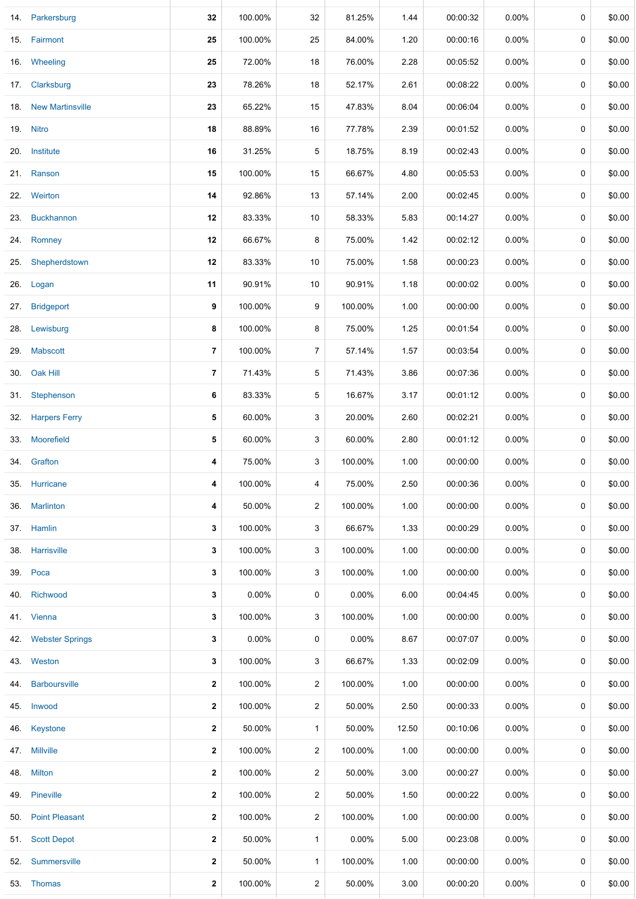|     | 14. Parkersburg      | 32             | 100.00% | 32             | 81.25%   | 1.44  | 00:00:32 | 0.00%    | 0           | \$0.00 |
|-----|----------------------|----------------|---------|----------------|----------|-------|----------|----------|-------------|--------|
|     | 15. Fairmont         | 25             | 100.00% | 25             | 84.00%   | 1.20  | 00:00:16 | $0.00\%$ | 0           | \$0.00 |
|     | 16. Wheeling         | 25             | 72.00%  | 18             | 76.00%   | 2.28  | 00:05:52 | $0.00\%$ | $\mathbf 0$ | \$0.00 |
|     | 17. Clarksburg       | 23             | 78.26%  | 18             | 52.17%   | 2.61  | 00:08:22 | $0.00\%$ | 0           | \$0.00 |
|     | 18. New Martinsville | 23             | 65.22%  | 15             | 47.83%   | 8.04  | 00:06:04 | $0.00\%$ | $\mathbf 0$ | \$0.00 |
|     | 19. Nitro            | 18             | 88.89%  | 16             | 77.78%   | 2.39  | 00:01:52 | $0.00\%$ | 0           | \$0.00 |
|     | 20. Institute        | 16             | 31.25%  | 5              | 18.75%   | 8.19  | 00:02:43 | $0.00\%$ | 0           | \$0.00 |
| 21. | Ranson               | 15             | 100.00% | 15             | 66.67%   | 4.80  | 00:05:53 | $0.00\%$ | 0           | \$0.00 |
|     | 22. Weirton          | 14             | 92.86%  | 13             | 57.14%   | 2.00  | 00:02:45 | 0.00%    | 0           | \$0.00 |
| 23. | <b>Buckhannon</b>    | 12             | 83.33%  | 10             | 58.33%   | 5.83  | 00:14:27 | 0.00%    | 0           | \$0.00 |
| 24. | Romney               | 12             | 66.67%  | 8              | 75.00%   | 1.42  | 00:02:12 | $0.00\%$ | 0           | \$0.00 |
| 25. | Shepherdstown        | 12             | 83.33%  | 10             | 75.00%   | 1.58  | 00:00:23 | 0.00%    | 0           | \$0.00 |
|     | 26. Logan            | 11             | 90.91%  | 10             | 90.91%   | 1.18  | 00:00:02 | 0.00%    | 0           | \$0.00 |
| 27. | <b>Bridgeport</b>    | 9              | 100.00% | 9              | 100.00%  | 1.00  | 00:00:00 | $0.00\%$ | 0           | \$0.00 |
|     | 28. Lewisburg        | 8              | 100.00% | 8              | 75.00%   | 1.25  | 00:01:54 | 0.00%    | 0           | \$0.00 |
| 29. | <b>Mabscott</b>      | $\overline{7}$ | 100.00% | 7              | 57.14%   | 1.57  | 00:03:54 | $0.00\%$ | 0           | \$0.00 |
|     | 30. Oak Hill         | $\overline{7}$ | 71.43%  | 5              | 71.43%   | 3.86  | 00:07:36 | $0.00\%$ | 0           | \$0.00 |
|     | 31. Stephenson       | 6              | 83.33%  | 5              | 16.67%   | 3.17  | 00:01:12 | $0.00\%$ | 0           | \$0.00 |
|     | 32. Harpers Ferry    | 5              | 60.00%  | 3              | 20.00%   | 2.60  | 00:02:21 | $0.00\%$ | 0           | \$0.00 |
|     | 33. Moorefield       | 5              | 60.00%  | 3              | 60.00%   | 2.80  | 00:01:12 | $0.00\%$ | 0           | \$0.00 |
|     | 34. Grafton          | 4              | 75.00%  | 3              | 100.00%  | 1.00  | 00:00:00 | 0.00%    | 0           | \$0.00 |
| 35. | Hurricane            | 4              | 100.00% | 4              | 75.00%   | 2.50  | 00:00:36 | $0.00\%$ | 0           | \$0.00 |
| 36. | Marlinton            | 4              | 50.00%  | $\overline{a}$ | 100.00%  | 1.00  | 00:00:00 | $0.00\%$ | 0           | \$0.00 |
|     | 37. Hamlin           | 3              | 100.00% | 3              | 66.67%   | 1.33  | 00:00:29 | $0.00\%$ | 0           | \$0.00 |
| 38. | Harrisville          | 3              | 100.00% | 3              | 100.00%  | 1.00  | 00:00:00 | $0.00\%$ | 0           | \$0.00 |
|     | 39. Poca             | 3              | 100.00% | 3              | 100.00%  | 1.00  | 00:00:00 | $0.00\%$ | 0           | \$0.00 |
| 40. | Richwood             | 3              | 0.00%   | 0              | $0.00\%$ | 6.00  | 00:04:45 | $0.00\%$ | 0           | \$0.00 |
|     | 41. Vienna           | 3              | 100.00% | 3              | 100.00%  | 1.00  | 00:00:00 | $0.00\%$ | 0           | \$0.00 |
|     | 42. Webster Springs  | 3              | 0.00%   | 0              | 0.00%    | 8.67  | 00:07:07 | $0.00\%$ | 0           | \$0.00 |
|     | 43. Weston           | 3              | 100.00% | 3              | 66.67%   | 1.33  | 00:02:09 | $0.00\%$ | 0           | \$0.00 |
| 44. | <b>Barboursville</b> | $\mathbf{2}$   | 100.00% | $\overline{a}$ | 100.00%  | 1.00  | 00:00:00 | $0.00\%$ | 0           | \$0.00 |
|     | 45. Inwood           | $\mathbf{2}$   | 100.00% | $\overline{a}$ | 50.00%   | 2.50  | 00:00:33 | $0.00\%$ | 0           | \$0.00 |
|     | 46. Keystone         | $\mathbf{2}$   | 50.00%  | 1              | 50.00%   | 12.50 | 00:10:06 | $0.00\%$ | 0           | \$0.00 |
|     | 47. Millville        | $\mathbf{2}$   | 100.00% | $\overline{2}$ | 100.00%  | 1.00  | 00:00:00 | $0.00\%$ | 0           | \$0.00 |
| 48. | <b>Milton</b>        | $\mathbf{2}$   | 100.00% | $\overline{a}$ | 50.00%   | 3.00  | 00:00:27 | $0.00\%$ | 0           | \$0.00 |
| 49. | Pineville            | $\mathbf{2}$   | 100.00% | $\overline{2}$ | 50.00%   | 1.50  | 00:00:22 | $0.00\%$ | 0           | \$0.00 |
|     | 50. Point Pleasant   | 2              | 100.00% | 2              | 100.00%  | 1.00  | 00:00:00 | $0.00\%$ | 0           | \$0.00 |
| 51. | <b>Scott Depot</b>   | $\mathbf{2}$   | 50.00%  | $\mathbf{1}$   | 0.00%    | 5.00  | 00:23:08 | $0.00\%$ | 0           | \$0.00 |
| 52. | Summersville         | $\mathbf{2}$   | 50.00%  | $\mathbf{1}$   | 100.00%  | 1.00  | 00:00:00 | $0.00\%$ | 0           | \$0.00 |
|     | 53. Thomas           | $\mathbf{2}$   | 100.00% | 2              | 50.00%   | 3.00  | 00:00:20 | 0.00%    | 0           | \$0.00 |